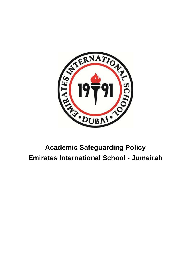

# **Academic Safeguarding Policy Emirates International School - Jumeirah**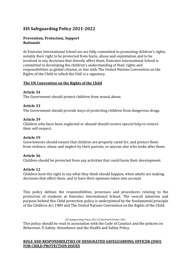# **EIS Safeguarding Policy 2021-2022**

# **Prevention, Protection, Support Rationale**

At Emirates International School we are fully committed to promoting children's rights, notably their right to be protected from harm, abuse and exploitation and to be involved in any decisions that directly affect them. Emirates International School is committed to developing the children's understanding of their rights and responsibilities as global citizens, in line with The United Nations Convention on the Rights of the Child to which the UAE is a signatory.

# **The UN Convention on the Rights of the Child**

# **Article 34**

The Government should protect children from sexual abuse.

# **Article 33**

The Government should provide ways of protecting children from dangerous drugs.

# **Article 39**

Children who have been neglected or abused should receive special help to restore their self-respect.

# **Article 19**

Governments should ensure that children are properly cared for, and protect them from violence, abuse and neglect by their parents, or anyone else who looks after them.

# **Article 36**

Children should be protected from any activities that could harm their development.

# **Article 12**

Children have the right to say what they think should happen, when adults are making decisions that affect them, and to have their opinions taken into account

This policy defines the responsibilities, processes and procedures relating to the protection of students at Emirates International School. The overall intention and purpose behind this Child protection policy is underpinned by the fundamental principle of the Children Act 1989 and The United Nations Convention on the Rights of the Child.

*EIS Safeguarding Policy 2021-22 Reviewed October 2021*

This policy should be read in association with the Code of Conduct and the policies on Behaviour, E-Safety, Attendance and the Health and Safety Policy.

# **ROLE AND RESPONSIBILITIES OF DESIGNATED SAFEGUARDING OFFICER (DSO) FOR CHILD PROTECTION ISSUES**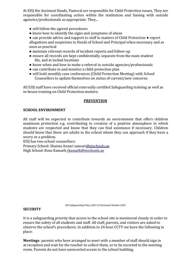At EISJ the Assistant Heads, Pastoral are responsible for Child Protection issues. They are responsible for coordinating action within the institution and liaising with outside agencies/professionals as appropriate. They...

- will follow the agreed procedures
- know how to identify the signs and symptoms of abuse
- can provide advice and support to staff in matters of Child Protection report allegations and suspicions to Heads of School and Principal when necessary and as soon as practical
- maintain relevant records of incident reports and follow-up
- ensure all records are kept confidentially, separate from the main student file, and in locked locations
- know when and how to make a referral to outside agencies/professionals
- can contribute to and monitor a child protection plan
- will hold monthly case conferences (Child Protection Meeting) with School Counsellors to update themselves on status of current/new concerns

All EISJ staff have received official externally certified Safeguarding training as well as in-house training on Child Protection matters.

# **PREVENTION**

# **SCHOOL ENVIRONMENT**

All staff will be expected to contribute towards an environment that offers children maximum protection e.g. contributing to creation of a positive atmosphere in which students are respected and know that they can find assistance if necessary. Children should know that there are adults in the school whom they can approach if they have a worry or a problem.

EISJ has two school counsellors:

Primary School: Shaista Ansari sansari@eischools.ae High School: Rose Kamath rkamath@eischools.ae

*EIS Safeguarding Policy 2021-22 Reviewed October 2021*

### **SECURITY**

It is a safeguarding priority that access to the school site is monitored closely in order to ensure the safety of all students and staff. All staff, parents, and visitors are asked to observe the school's procedures. In addition to 24 hour CCTV we have the following in place:

**Meetings**- parents who have arranged to meet with a member of staff should sign in at reception and wait for the teacher to collect them, or to be escorted to the meeting room. Parents do not have unescorted access to the school building.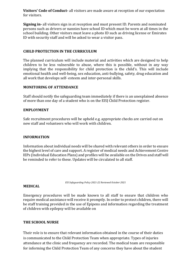**Visitors' Code of Conduct-** all visitors are made aware at reception of our expectation for visitors.

**Signing in-** all visitors sign in at reception and must present ID. Parents and nominated persons such as drivers or nannies have school ID which must be worn at all times in the school building. Other visitors must leave a photo ID such as driving license or Emirates ID with security staff and will be asked to wear a visitor pass.

# **CHILD PROTECTION IN THE CURRICULUM**

The planned curriculum will include material and activities which are designed to help children to be less vulnerable to abuse, where this is possible, without in any way implying that the responsibility for child protection is the child's. This will include emotional health and well-being, sex education, anti-bullying, safety, drug education and all work that develops self- esteem and inter-personal skills.

### **MONITORING OF ATTENDANCE**

Staff should notify the safeguarding team immediately if there is an unexplained absence of more than one day of a student who is on the EISJ Child Protection register.

### **EMPLOYMENT**

Safe recruitment procedures will be upheld e.g. appropriate checks are carried out on new staff and volunteers who will work with children.

### **INFORMATION**

Information about individual needs will be shared with relevant others in order to ensure the highest level of care and support. A register of medical needs and Achievement Centre IEPs (Individual Education Plans) and profiles will be available on the Drives and staff will be reminded to refer to these. Updates will be circulated to all staff.

*EIS Safeguarding Policy 2021-22 Reviewed October 2021*

### **MEDICAL**

Emergency procedures will be made known to all staff to ensure that children who require medical assistance will receive it promptly. In order to protect children, there will be staff training provided in the use of Epipens and information regarding the treatment of children with epilepsy will be available on

### **THE SCHOOL NURSE**

Their role is to ensure that relevant information obtained in the course of their duties is communicated to the Child Protection Team when appropriate. Types of injuries attendance at the clinic and frequency are recorded. The medical team are responsible for informing the Child Protection Team of any concerns they have about the student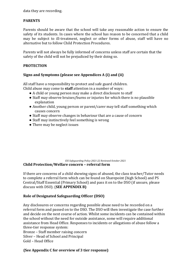data they are recording.

# **PARENTS**

Parents should be aware that the school will take any reasonable action to ensure the safety of its students. In cases where the school has reason to be concerned that a child may be subject to ill-treatment, neglect or other forms of abuse, staff will have no alternative but to follow Child Protection Procedures.

Parents will not always be fully informed of concerns unless staff are certain that the safety of the child will not be prejudiced by their doing so.

# **PROTECTION**

# **Signs and Symptoms (please see Appendices A (i) and (ii)**

All staff have a responsibility to protect and safe guard children. Child abuse may come to **staff** attention in a number of ways:

- A child or young person may make a direct disclosure to staff
- Staff may observe bruises/burns or injuries for which there is no plausible explanation
- Another child, young person or parent/carer may tell staff something which causes concern
- Staff may observe changes in behaviour that are a cause of concern
- Staff may instinctively feel something is wrong
- There may be neglect issues

### *EIS Safeguarding Policy 2021-22 Reviewed October 2021* **Child Protection/Welfare concern – referral form**

If there are concerns of a child showing signs of abused, the class teacher/Tutor needs to complete a referral form which can be found on Sharepoint (high School) and PS Central/Staff Essential (Primary School) and pass it on to the DSO (if unsure, please discuss with DSO). (**SEE APPENDIX B)** 

# **Role of Designated Safeguarding Officer (DSO)**

Any disclosures or concerns regarding possible abuse need to be recorded on a referral form and passed on to the DSO. The DSO will then investigate the case further and decide on the next course of action. Whilst some incidents can be contained within the school without the need for outside assistance, some will require additional assistance from Head Office. Responses to incidents or allegations of abuse follow a three-tier response system:

Bronze – Staff member raising concern Silver – Head of School and Principal Gold – Head Office

# **(See Appendix C for overview of 3 tier response)**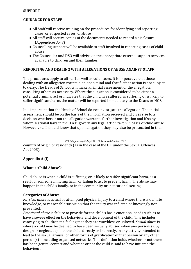### **SUPPORT**

# **GUIDANCE FOR STAFF**

- All Staff will receive training on the procedures for identifying and reporting cases, or suspected cases, of abuse
- All staff will receive copies of the documents needed to record a disclosure (Appendices A– F)
- Counselling support will be available to staff involved in reporting cases of child abuse
- The Counsellor and DSO will advise on the appropriate external support services available to children and their families

# **REPORTING AND DEALING WITH ALLEGATIONS OF ABUSE AGAINST STAFF**

The procedures apply to all staff as well as volunteers. It is imperative that those dealing with an allegation maintain an open mind and that further action is not subject to delay. The Heads of School will make an initial assessment of the allegation, consulting others as necessary. Where the allegation is considered to be either a potential criminal act or indicates that the child has suffered, is suffering or is likely to suffer significant harm, the matter will be reported immediately to the Deans or HOS.

It is important that the Heads of School do not investigate the allegation. The initial assessment should be on the basis of the information received and gives rise to a decision whether or not the allegation warrants further investigation and if so by whom. National laws in the U.A.E. govern any legal action taken in cases of child abuse. However, staff should know that upon allegation they may also be prosecuted in their

*EIS Safeguarding Policy 2021-22 Reviewed October 2021*

country of origin or residency (as in the case of the UK under the Sexual Offences Act 2003).

# **Appendix A (i)**

# **What is 'Child Abuse'?**

Child abuse is when a child is suffering, or is likely to suffer, significant harm, as a result of someone inflicting harm or failing to act to prevent harm. The abuse may happen in the child's family, or in the community or institutional setting.

# **Categories of Abuse:**

*Physical abuse* is actual or attempted physical injury to a child where there is definite knowledge, or reasonable suspicion that the injury was inflicted or knowingly not prevented.

*Emotional abuse* is failure to provide for the child's basic emotional needs such as to have a severe effect on the behaviour and development of the child. This includes conveying to children the feeling that they are worthless or unloved. *Sexual abuse* is where a child may be deemed to have been sexually abused when any person(s), by design or neglect, exploits the child, directly or indirectly, in any activity intended to lead to the sexual arousal or other forms of gratification of that person or any other person(s) – including organised networks. This definition holds whether or not there has been genital contact and whether or not the child is said to have initiated the behaviour.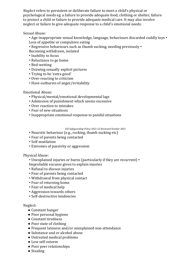*Neglect* refers to persistent or deliberate failure to meet a child's physical or psychological needs eg. a failure to provide adequate food, clothing or shelter, failure to protect a child or failure to provide adequate medical care. It may also involve neglect or failure to give adequate response to a child's emotional needs.

Sexual Abuse:

- Age-inappropriate sexual knowledge, language, behaviours discarded cuddly toys Loss of appetite or compulsive eating
- Regressive behaviours such as thumb sucking, needing previously Becoming withdrawn, isolated
- Inability to focus
- Reluctance to go home
- Bed-wetting
- Drawing sexually explicit pictures
- Trying to be 'extra good'
- Over-reacting to criticism
- Have outbursts of anger/irritability

# Emotional Abuse:

- Physical/mental/emotional developmental lags
- Admission of punishment which seems excessive
- Over reaction to mistakes
- Fear of new situations
- Inappropriate emotional response to painful situations

*EIS Safeguarding Policy 2021-22 Reviewed October 2021*

- Neurotic behaviour (e.g., rocking, thumb sucking etc)
- Fear of parents being contacted
- Self-mutilation
- Extremes of passivity or aggression

Physical Abuse:

• Unexplained injuries or burns (particularly if they are recurrent) • Improbable excuses given to explain injuries

- Refusal to discuss injuries
- Fear of parents being contacted
- Withdrawal from physical contact
- Fear of returning home
- Fear of medical help
- Aggression towards others
- Self-destructive tendencies

# Neglect:

- Constant hunger
- Poor personal hygiene
- Constant tiredness
- Poor state of clothing
- Frequent lateness and/or unexplained non-attendance
- Substance and or alcohol abuse
- Untreated medical problems
- Low self-esteem
- Poor peer relationships
- Stealing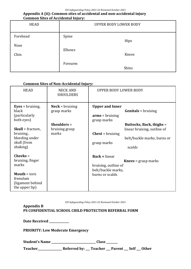# **Appendix A (ii): Common sites of accidental and non-accidental injury Common Sites of Accidental Injury:**

| <b>HEAD</b>      | ---, --- <i>,</i> -<br>UPPER BODY LOWER BODY |       |  |
|------------------|----------------------------------------------|-------|--|
| Forehead<br>Nose | Spine                                        | Hips  |  |
| Chin             | Elbows                                       | Knees |  |
|                  | Forearm                                      | Shins |  |

# **Common Sites of Non-Accidental Injury:**

| <b>HEAD</b>                                                                                                                                            | <b>NECK AND</b><br><b>SHOULDERS</b>                                                 | UPPER BODY LOWER BODY                                                                                                                                                                                                                                    |
|--------------------------------------------------------------------------------------------------------------------------------------------------------|-------------------------------------------------------------------------------------|----------------------------------------------------------------------------------------------------------------------------------------------------------------------------------------------------------------------------------------------------------|
| <b>Eyes</b> = bruising,<br>black<br>(particularly)<br>both eyes)<br><b>Skull</b> = fracture,<br>bruising,<br>bleeding under<br>skull (from<br>shaking) | $Neck = \text{bruising}$<br>grasp marks<br>Shoulders $=$<br>bruising grasp<br>marks | <b>Upper and Inner</b><br><b>Genitals</b> = bruising<br>$\mathbf{arms} = \mathbf{bruising}$<br>grasp marks<br>Buttocks, Back, thighs =<br>linear bruising, outline of<br><b>Chest</b> = bruising<br>belt/buckle marks, burns or<br>grasp marks<br>scalds |
| $Cheeks =$<br>bruising, finger<br>marks<br><b>Mouth</b> = torn<br>frenulum<br>(ligament behind<br>the upper lip)                                       |                                                                                     | $Back = linear$<br><b>Knees</b> = $grasp$ marks<br>bruising, outline of<br>belt/buckle marks,<br>burns or scalds                                                                                                                                         |

*EIS Safeguarding Policy 2021-22 Reviewed October 2021*

**Appendix B PS CONFIDENTIAL SCHOOL CHILD PROTECTION REFERRAL FORM** 

**Date Received \_\_\_\_\_\_\_\_\_\_\_\_\_\_** 

**PRIORITY: Low Moderate Emergency** 

**Student's Name \_\_\_\_\_\_\_\_\_\_\_\_\_\_\_\_\_\_\_\_\_\_\_\_\_\_\_\_\_\_\_ Class \_\_\_\_\_\_\_\_** 

**Teacher\_\_\_\_\_\_\_\_\_\_\_\_\_\_\_\_\_ Referred by: \_\_\_ Teacher \_\_\_ Parent \_\_\_ Self \_\_\_ Other**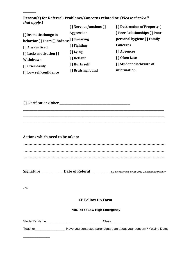**Reason(s) for Referral- Problems/Concerns related to: (***Please check all that apply.***)** 

|                                          | [] Nervous/anxious [] | [] Destruction of Property [       |
|------------------------------------------|-----------------------|------------------------------------|
| [] Dramatic change in                    | <b>Aggression</b>     | <b>Peer Relationships [ ] Poor</b> |
| behavior [] Fears [] Sadness [] Swearing |                       | personal hygiene [] Family         |
| [] Always tired                          | [ ] Fighting          | Concerns                           |
| [] Lacks motivation []                   | [ ] Lying             | [ ] Absences                       |
| Withdrawn                                | [ ] Defiant           | [ ] Often Late                     |
| [] Cries easily                          | [ ] Hurts self        | [] Student disclosure of           |
| [] Low self confidence                   | [] Bruising found     | information                        |
|                                          |                       |                                    |

**[ ] Clarification/Other \_\_\_\_\_\_\_\_\_\_\_\_\_\_\_\_\_\_\_\_\_\_\_\_\_\_\_\_\_\_\_\_\_\_\_\_\_\_\_\_\_\_\_\_\_\_\_\_\_\_\_\_\_\_** 

**\_\_\_\_\_\_\_\_\_** 

**Actions which need to be taken: ………………………………………………………………………………………………… ………………………………………………………………………………………………… …………………………………………………………………………………………………** 

**\_\_\_\_\_\_\_\_\_\_\_\_\_\_\_\_\_\_\_\_\_\_\_\_\_\_\_\_\_\_\_\_\_\_\_\_\_\_\_\_\_\_\_\_\_\_\_\_\_\_\_\_\_\_\_\_\_\_\_\_\_\_\_\_\_\_\_\_\_\_\_\_\_\_\_\_\_\_\_\_\_\_\_\_\_\_\_\_\_\_\_\_\_\_\_\_\_\_\_\_\_\_\_\_\_\_\_\_ \_\_\_\_\_\_\_\_\_\_\_\_\_\_\_\_\_\_\_\_\_\_\_\_\_\_\_\_\_\_\_\_\_\_\_\_\_\_\_\_\_\_\_\_\_\_\_\_\_\_\_\_\_\_\_\_\_\_\_\_\_\_\_\_\_\_\_\_\_\_\_\_\_\_\_\_\_\_\_\_\_\_\_\_\_\_\_\_\_\_\_\_\_\_\_\_\_\_\_\_\_\_\_\_\_\_\_\_ \_\_\_\_\_\_\_\_\_\_\_\_\_\_\_\_\_\_\_\_\_\_\_\_\_\_\_\_\_\_\_\_\_\_\_\_\_\_\_\_\_\_\_\_\_\_\_\_\_\_\_\_\_\_\_\_\_\_\_\_\_\_\_\_\_\_\_\_\_\_\_\_\_\_\_\_\_\_\_\_\_\_\_\_\_\_\_\_\_\_\_\_\_\_\_\_\_\_\_\_\_\_\_\_\_\_\_\_** 

**Signature\_\_\_\_\_\_\_\_\_\_\_\_\_\_\_\_ Date of Referal\_\_\_\_\_\_\_\_\_\_\_\_\_\_** *EIS Safeguarding Policy 2021-22 Reviewed October* 

*2021*

\_\_\_\_\_\_\_\_\_\_\_\_\_\_\_

### **CP Follow Up Form**

### **PRIORITY: Low High Emergency**

Student's Name \_\_\_\_\_\_\_\_\_\_\_\_\_\_\_\_\_\_\_\_\_\_\_\_\_\_\_\_\_\_\_ Class\_\_\_\_\_\_\_\_

Teacher\_\_\_\_\_\_\_\_\_\_\_\_\_\_\_\_\_ Have you contacted parent/guardian about your concern? Yes/No Date: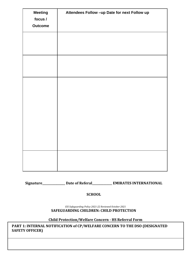| <b>Meeting</b> | Attendees Follow -up Date for next Follow up |
|----------------|----------------------------------------------|
| focus /        |                                              |
| <b>Outcome</b> |                                              |
|                |                                              |
|                |                                              |
|                |                                              |
|                |                                              |
|                |                                              |
|                |                                              |
|                |                                              |
|                |                                              |
|                |                                              |
|                |                                              |
|                |                                              |
|                |                                              |
|                |                                              |
|                |                                              |
|                |                                              |
|                |                                              |
|                |                                              |
|                |                                              |
|                |                                              |
|                |                                              |
|                |                                              |

**Signature\_\_\_\_\_\_\_\_\_\_\_\_\_\_\_\_ Date of Referal\_\_\_\_\_\_\_\_\_\_\_\_\_\_ EMIRATES INTERNATIONAL** 

# **SCHOOL**

*EIS Safeguarding Policy 2021-22 Reviewed October 2021* **SAFEGUARDING CHILDREN: CHILD PROTECTION** 

**Child Protection/Welfare Concern - HS Referral Form** 

**PART 1: INTERNAL NOTIFICATION of CP/WELFARE CONCERN TO THE DSO (DESIGNATED SAFETY OFFICER)**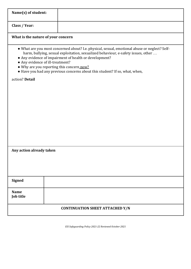| Name(s) of student:                |                                                                                                                                                                                                                                                                                                                                                                                                              |
|------------------------------------|--------------------------------------------------------------------------------------------------------------------------------------------------------------------------------------------------------------------------------------------------------------------------------------------------------------------------------------------------------------------------------------------------------------|
|                                    |                                                                                                                                                                                                                                                                                                                                                                                                              |
| Class / Year:                      |                                                                                                                                                                                                                                                                                                                                                                                                              |
| What is the nature of your concern |                                                                                                                                                                                                                                                                                                                                                                                                              |
|                                    | • What are you most concerned about? I.e. physical, sexual, emotional abuse or neglect? Self-<br>harm, bullying, sexual exploitation, sexualized behaviour, e-safety issues, other<br>• Any evidence of impairment of health or development?<br>• Any evidence of ill-treatment?<br>. Why are you reporting this concern now?<br>• Have you had any previous concerns about this student? If so, what, when, |
| action? Detail                     |                                                                                                                                                                                                                                                                                                                                                                                                              |
|                                    |                                                                                                                                                                                                                                                                                                                                                                                                              |
|                                    |                                                                                                                                                                                                                                                                                                                                                                                                              |
|                                    |                                                                                                                                                                                                                                                                                                                                                                                                              |
|                                    |                                                                                                                                                                                                                                                                                                                                                                                                              |
|                                    |                                                                                                                                                                                                                                                                                                                                                                                                              |
|                                    |                                                                                                                                                                                                                                                                                                                                                                                                              |
|                                    |                                                                                                                                                                                                                                                                                                                                                                                                              |
| Any action already taken           |                                                                                                                                                                                                                                                                                                                                                                                                              |
|                                    |                                                                                                                                                                                                                                                                                                                                                                                                              |
|                                    |                                                                                                                                                                                                                                                                                                                                                                                                              |
|                                    |                                                                                                                                                                                                                                                                                                                                                                                                              |
| <b>Signed</b>                      |                                                                                                                                                                                                                                                                                                                                                                                                              |
| <b>Name</b><br>Job title           |                                                                                                                                                                                                                                                                                                                                                                                                              |
|                                    | <b>CONTINUATION SHEET ATTACHED Y/N</b>                                                                                                                                                                                                                                                                                                                                                                       |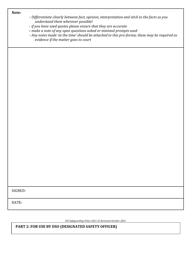**Note:** 

- *- Differentiate clearly between fact, opinion, interpretation and stick to the facts as you understand them wherever possible!*
- *- if you have used quotes please ensure that they are accurate*
- **-** *make a note of any open questions asked or minimal prompts used*

*- Any notes made 'at the time' should be attached to this pro-forma; these may be required as evidence if the matter goes to court*

SIGNED:

DATE:

*EIS Safeguarding Policy 2021-22 Reviewed October 2021*

**PART 2: FOR USE BY DSO (DESIGNATED SAFETY OFFICER)**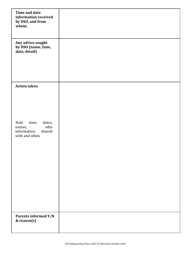| <b>Time and date</b><br>information received<br>by DSO, and from<br>whom.           |  |
|-------------------------------------------------------------------------------------|--|
| Any advice sought<br>by DSO (name, time,<br>date, detail)                           |  |
| <b>Action taken</b>                                                                 |  |
| Note<br>time,<br>dates,<br>who<br>names,<br>information<br>shared<br>with and when. |  |
| Parents informed Y/N<br>& reason(s)                                                 |  |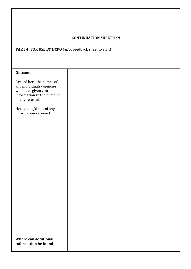|                                                                                                                              | <b>CONTINUATION SHEET Y/N</b>                          |  |  |  |
|------------------------------------------------------------------------------------------------------------------------------|--------------------------------------------------------|--|--|--|
|                                                                                                                              | PART 4: FOR USE BY DCPO (&/or feedback sheet to staff) |  |  |  |
|                                                                                                                              |                                                        |  |  |  |
|                                                                                                                              |                                                        |  |  |  |
| <b>Outcome</b>                                                                                                               |                                                        |  |  |  |
| Record here the names of<br>any individuals/agencies<br>who have given you<br>information re the outcome<br>of any referral. |                                                        |  |  |  |
| Note dates/times of any<br>information received.                                                                             |                                                        |  |  |  |
|                                                                                                                              |                                                        |  |  |  |
|                                                                                                                              |                                                        |  |  |  |
|                                                                                                                              |                                                        |  |  |  |
|                                                                                                                              |                                                        |  |  |  |
|                                                                                                                              |                                                        |  |  |  |
|                                                                                                                              |                                                        |  |  |  |
| Where can additional<br>information be found                                                                                 |                                                        |  |  |  |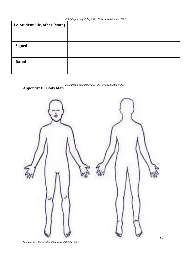| i.e. Student File, other (state) |  |
|----------------------------------|--|
|                                  |  |
|                                  |  |
| <b>Signed</b>                    |  |
|                                  |  |
| <b>Dated</b>                     |  |
|                                  |  |
|                                  |  |

# **Appendix B : Body Map**



*Safeguarding Policy 2021-22 Reviewed October 2021*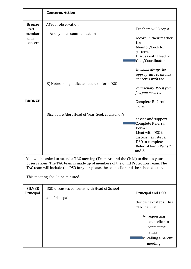|                                                                                                                                                                                                                                                                                                             | <b>Concerns Action</b>                                      |                                                                                                                                                                                       |  |
|-------------------------------------------------------------------------------------------------------------------------------------------------------------------------------------------------------------------------------------------------------------------------------------------------------------|-------------------------------------------------------------|---------------------------------------------------------------------------------------------------------------------------------------------------------------------------------------|--|
| <b>Bronze</b><br>Staff<br>member<br>with<br>concern                                                                                                                                                                                                                                                         | A) Your observation<br>Anonymous communication              | Teachers will keep a<br>record in their teacher<br>file<br>Monitor/Look for<br>pattern.<br>Discuss with Head of<br>Year/Coordinator                                                   |  |
|                                                                                                                                                                                                                                                                                                             | B) Notes in log indicate need to inform DSO                 | It would always be<br>appropriate to discuss<br>concerns with the<br>counsellor/DSO if you<br>feel you need to.                                                                       |  |
| <b>BRONZE</b>                                                                                                                                                                                                                                                                                               | Disclosure Alert Head of Year. Seek counsellor's            | Complete Referral<br>Form<br>advice and support<br>Complete Referral<br>Form 1<br>Meet with DSO to<br>discuss next steps.<br>DSO to complete<br><b>Referral Form Parts 2</b>          |  |
| and 3.<br>You will be asked to attend a TAC meeting (Team Around the Child) to discuss your<br>observations. The TAC team is made up of members of the Child Protection Team. The<br>TAC team will include the DSO for your phase, the counsellor and the school doctor.<br>This meeting should be minuted. |                                                             |                                                                                                                                                                                       |  |
| <b>SILVER</b><br>Principal                                                                                                                                                                                                                                                                                  | DSO discusses concerns with Head of School<br>and Principal | Principal and DSO<br>decide next steps. This<br>may include:<br>$\triangleright$ requesting<br>counsellor to<br>contact the<br>family<br>$\triangleright$ calling a parent<br>meeting |  |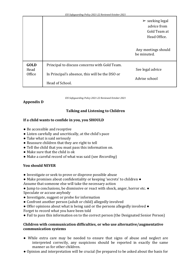|                               |                                                                                                  | $\triangleright$ seeking legal<br>advice from<br>Gold Team at<br>Head Office. |
|-------------------------------|--------------------------------------------------------------------------------------------------|-------------------------------------------------------------------------------|
|                               |                                                                                                  | Any meetings should<br>be minuted.                                            |
| <b>GOLD</b><br>Head<br>Office | Principal to discuss concerns with Gold Team.<br>In Principal's absence, this will be the DSO or | See legal advice<br>Advise school                                             |
|                               | Head of School.                                                                                  |                                                                               |

# **Appendix D**

# **Talking and Listening to Children**

# **If a child wants to confide in you, you SHOULD**

- Be accessible and receptive
- Listen carefully and uncritically, at the child's pace
- Take what is said seriously
- Reassure children that they are right to tell
- Tell the child that you must pass this information on.
- Make sure that the child is ok
- Make a careful record of what was said (see *Recording*)

# **You should NEVER**

- Investigate or seek to prove or disprove possible abuse
- Make promises about confidentiality or keeping 'secrets' to children ●
- Assume that someone else will take the necessary action
- Jump to conclusions, be dismissive or react with shock, anger, horror etc. Speculate or accuse anybody
- Investigate, suggest or probe for information
- Confront another person (adult or child) allegedly involved
- Offer opinions about what is being said or the persons allegedly involved Forget to record what you have been told
- Fail to pass this information on to the correct person (the Designated Senior Person)

# **Children with communication difficulties, or who use alternative/augmentative communication systems**

- While extra care may be needed to ensure that signs of abuse and neglect are interpreted correctly, any suspicions should be reported in exactly the same manner as for other children.
- Opinion and interpretation will be crucial (be prepared to be asked about the basis for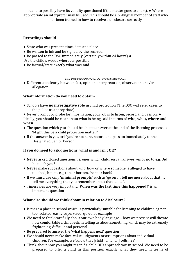it and to possibly have its validity questioned if the matter goes to court). ● Where appropriate an interpreter may be used. This should be a bi-lingual member of staff who has been trained in how to receive a disclosure correctly

# **Recordings should**

- State who was present, time, date and place
- Be written in ink and be signed by the recorder
- Be passed to the DSO immediately (certainly within 24 hours) ●
- Use the child's words wherever possible
- Be factual/state exactly what was said

*EIS Safeguarding Policy 2021-22 Reviewed October 2021*

● Differentiate clearly between fact, opinion, interpretation, observation and/or allegation

# **What information do you need to obtain?**

- Schools have **no investigative role** in child protection (The DSO will refer cases to the police as appropriate)
- Never prompt or probe for information, your job is to listen, record and pass on. Ideally, you should be clear about what is being said in terms of **who, what, where and when**
- The question which you should be able to answer at the end of the listening process is 'Might this be a child protection matter?'
- If the answer is yes, or if you're not sure, record and pass on immediately to the Designated Senior Person

# **If you do need to ask questions, what is and isn't OK?**

- **Never** asked closed questions i.e. ones which children can answer yes or no to e.g. Did he touch you?
- **Never** make suggestions about who, how or where someone is alleged to have touched, hit etc. e.g. top or bottom, front or back?
- If we must, use only '**minimal prompts**' such as 'go on … tell me more about that … tell me everything that you remember about that … … '.
- Timescales are very important: '**When was the last time this happened?**' is an important question

# **What else should we think about in relation to disclosure?**

- Is there a place in school which is particularly suitable for listening to children eg not too isolated, easily supervised, quiet for example
- We need to think carefully about our own body language how we present will dictate how comfortable a child feels in telling us about something which may be extremely frightening, difficult and personal
- Be prepared to answer the 'what happens next' question
- We should never make face-value judgments or assumptions about individual children. For example, we 'know that [child…………] tells lies'
- Think about how you might react if a child DID approach you in school. We need to be prepared to offer a child in this position exactly what they need in terms of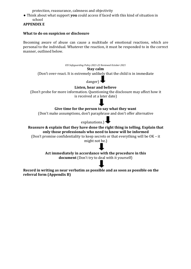protection, reassurance, calmness and objectivity

● Think about what support **you** could access if faced with this kind of situation in school

# **APPENDIX E**

# **What to do on suspicion or disclosure**

Becoming aware of abuse can cause a multitude of emotional reactions, which are personal to the individual. Whatever the reaction, it must be responded to in the correct manner, outlined below.

*EIS Safeguarding Policy 2021-22 Reviewed October 2021*

### **Stay calm**

(Don't over-react. It is extremely unlikely that the child is in immediate



# **Listen, hear and believe**

(Don't probe for more information. Questioning the disclosure may affect how it is received at a later date)

# **Give time for the person to say what they want**

(Don't make assumptions, don't paraphrase and don't offer alternative

# explanations.)

# **Reassure & explain that they have done the right thing in telling. Explain that only those professionals who need to know will be informed**

(Don't promise confidentiality to keep secrets or that everything will be OK – it might not be.)

> **Act immediately in accordance with the procedure in this document** (Don't try to deal with it yourself)

**Record in writing as near verbatim as possible and as soon as possible on the referral form (Appendix B)**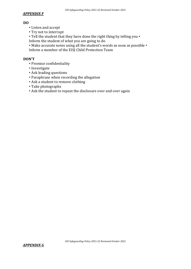# *APPENDIX F*

# **DO**

- Listen and accept
- Try not to interrupt

• Tell the student that they have done the right thing by telling you • Inform the student of what you are going to do

• Make accurate notes using all the student's words as soon as possible • Inform a member of the EISJ Child Protection Team

# **DON'T**

- Promise confidentiality
- Investigate
- Ask leading questions
- Paraphrase when recording the allegation
- Ask a student to remove clothing
- Take photographs
- Ask the student to repeat the disclosure over and over again